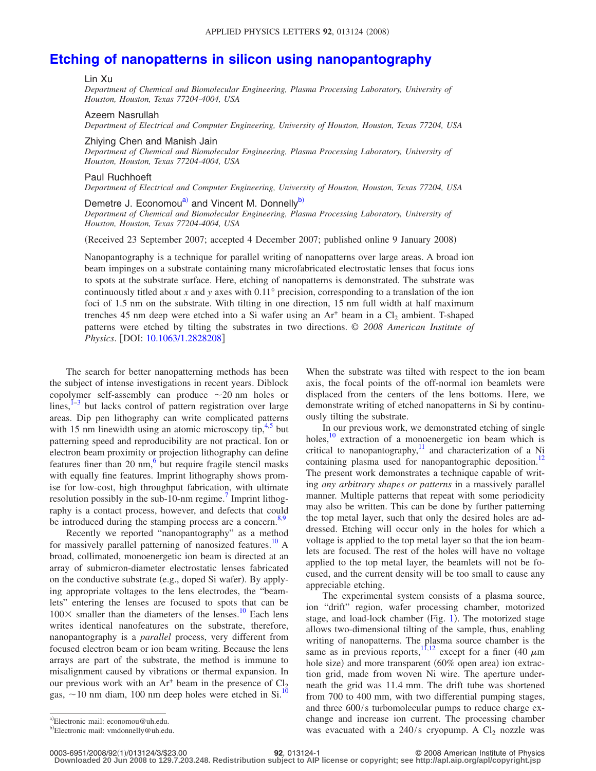# **[Etching of nanopatterns in silicon using nanopantography](http://dx.doi.org/10.1063/1.2828208)**

#### Lin Xu

*Department of Chemical and Biomolecular Engineering, Plasma Processing Laboratory, University of Houston, Houston, Texas 77204-4004, USA*

#### Azeem Nasrullah

*Department of Electrical and Computer Engineering, University of Houston, Houston, Texas 77204, USA*

Zhiying Chen and Manish Jain

*Department of Chemical and Biomolecular Engineering, Plasma Processing Laboratory, University of Houston, Houston, Texas 77204-4004, USA*

### Paul Ruchhoeft

*Department of Electrical and Computer Engineering, University of Houston, Houston, Texas 77204, USA*

## Demetre J. Economou<sup>a)</sup> and Vincent M. Donnelly<sup>b)</sup>

*Department of Chemical and Biomolecular Engineering, Plasma Processing Laboratory, University of Houston, Houston, Texas 77204-4004, USA*

Received 23 September 2007; accepted 4 December 2007; published online 9 January 2008-

Nanopantography is a technique for parallel writing of nanopatterns over large areas. A broad ion beam impinges on a substrate containing many microfabricated electrostatic lenses that focus ions to spots at the substrate surface. Here, etching of nanopatterns is demonstrated. The substrate was continuously titled about *x* and *y* axes with 0.11° precision, corresponding to a translation of the ion foci of 1.5 nm on the substrate. With tilting in one direction, 15 nm full width at half maximum trenches 45 nm deep were etched into a Si wafer using an  $Ar^+$  beam in a  $Cl_2$  ambient. T-shaped patterns were etched by tilting the substrates in two directions. © *2008 American Institute of Physics*. [DOI: [10.1063/1.2828208](http://dx.doi.org/10.1063/1.2828208)]

The search for better nanopatterning methods has been the subject of intense investigations in recent years. Diblock copolymer self-assembly can produce  $\sim$  20 nm holes or lines, $1-3$  $1-3$  but lacks control of pattern registration over large areas. Dip pen lithography can write complicated patterns with 15 nm linewidth using an atomic microscopy tip, $4.5$  but patterning speed and reproducibility are not practical. Ion or electron beam proximity or projection lithography can define features finer than 20  $nm$ , $\frac{6}{3}$  but require fragile stencil masks with equally fine features. Imprint lithography shows promise for low-cost, high throughput fabrication, with ultimate resolution possibly in the sub-10-nm regime.<sup>7</sup> Imprint lithography is a contact process, however, and defects that could be introduced during the stamping process are a concern.<sup>8[,9](#page-2-7)</sup>

Recently we reported "nanopantography" as a method for massively parallel patterning of nanosized features.<sup>10</sup> A broad, collimated, monoenergetic ion beam is directed at an array of submicron-diameter electrostatic lenses fabricated on the conductive substrate (e.g., doped Si wafer). By applying appropriate voltages to the lens electrodes, the "beamlets" entering the lenses are focused to spots that can be  $100 \times$  smaller than the diameters of the lenses.<sup>10</sup> Each lens writes identical nanofeatures on the substrate, therefore, nanopantography is a *parallel* process, very different from focused electron beam or ion beam writing. Because the lens arrays are part of the substrate, the method is immune to misalignment caused by vibrations or thermal expansion. In our previous work with an  $Ar^+$  beam in the presence of  $Cl_2$ gas,  $\sim$  10 nm diam, 100 nm deep holes were etched in Si.<sup>1</sup>

When the substrate was tilted with respect to the ion beam axis, the focal points of the off-normal ion beamlets were displaced from the centers of the lens bottoms. Here, we demonstrate writing of etched nanopatterns in Si by continuously tilting the substrate.

In our previous work, we demonstrated etching of single holes, $\frac{10}{10}$  extraction of a monoenergetic ion beam which is critical to nanopantography, $\frac{11}{11}$  and characterization of a Ni containing plasma used for nanopantographic deposition.<sup>12</sup> The present work demonstrates a technique capable of writing *any arbitrary shapes or patterns* in a massively parallel manner. Multiple patterns that repeat with some periodicity may also be written. This can be done by further patterning the top metal layer, such that only the desired holes are addressed. Etching will occur only in the holes for which a voltage is applied to the top metal layer so that the ion beamlets are focused. The rest of the holes will have no voltage applied to the top metal layer, the beamlets will not be focused, and the current density will be too small to cause any appreciable etching.

The experimental system consists of a plasma source, ion "drift" region, wafer processing chamber, motorized stage, and load-lock chamber (Fig. [1](#page-1-0)). The motorized stage allows two-dimensional tilting of the sample, thus, enabling writing of nanopatterns. The plasma source chamber is the same as in previous reports, <sup>11,[12](#page-2-10)</sup> except for a finer (40  $\mu$ m hole size) and more transparent (60% open area) ion extraction grid, made from woven Ni wire. The aperture underneath the grid was 11.4 mm. The drift tube was shortened from 700 to 400 mm, with two differential pumping stages, and three 600/s turbomolecular pumps to reduce charge exchange and increase ion current. The processing chamber was evacuated with a  $240/s$  cryopump. A Cl<sub>2</sub> nozzle was

0003-6951/2008/92(1)/013124/3/\$23.00

1/013124/3/\$23.00 © 2008 American Institute of Physics **92**, 013124-1 **Downloaded 20 Jun 2008 to 129.7.203.248. Redistribution subject to AIP license or copyright; see http://apl.aip.org/apl/copyright.jsp**

<span id="page-0-1"></span><span id="page-0-0"></span>a)Electronic mail: economou@uh.edu.

<sup>&</sup>lt;sup>b)</sup>Electronic mail: vmdonnelly@uh.edu.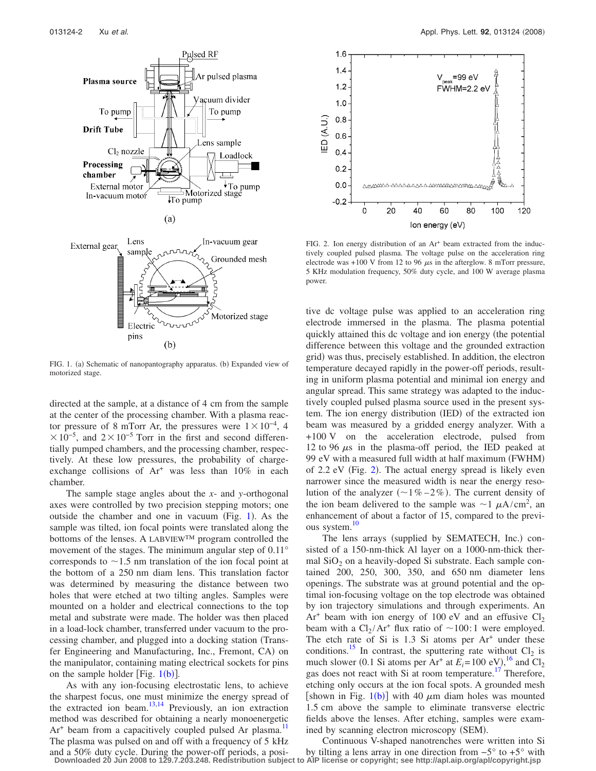<span id="page-1-0"></span>

FIG. 1. (a) Schematic of nanopantography apparatus. (b) Expanded view of motorized stage.

directed at the sample, at a distance of 4 cm from the sample at the center of the processing chamber. With a plasma reactor pressure of 8 mTorr Ar, the pressures were  $1 \times 10^{-4}$ , 4  $\times 10^{-5}$ , and 2 $\times 10^{-5}$  Torr in the first and second differentially pumped chambers, and the processing chamber, respectively. At these low pressures, the probability of chargeexchange collisions of Ar<sup>+</sup> was less than 10% in each chamber.

The sample stage angles about the *x*- and *y*-orthogonal axes were controlled by two precision stepping motors; one outside the chamber and one in vacuum (Fig.  $1$ ). As the sample was tilted, ion focal points were translated along the bottoms of the lenses. A LABVIEW™ program controlled the movement of the stages. The minimum angular step of 0.11° corresponds to  $\sim$  1.5 nm translation of the ion focal point at the bottom of a 250 nm diam lens. This translation factor was determined by measuring the distance between two holes that were etched at two tilting angles. Samples were mounted on a holder and electrical connections to the top metal and substrate were made. The holder was then placed in a load-lock chamber, transferred under vacuum to the processing chamber, and plugged into a docking station Transfer Engineering and Manufacturing, Inc., Fremont, CA) on the manipulator, containing mating electrical sockets for pins on the sample holder [Fig.  $1(b)$  $1(b)$ ].

As with any ion-focusing electrostatic lens, to achieve the sharpest focus, one must minimize the energy spread of the extracted ion beam.<sup>13[,14](#page-2-12)</sup> Previously, an ion extraction method was described for obtaining a nearly monoenergetic  $Ar<sup>+</sup>$  beam from a capacitively coupled pulsed Ar plasma.<sup>11</sup> The plasma was pulsed on and off with a frequency of 5 kHz and a 50% duty cycle. During the power-off periods, a posi-

<span id="page-1-1"></span>

FIG. 2. Ion energy distribution of an  $Ar<sup>+</sup>$  beam extracted from the inductively coupled pulsed plasma. The voltage pulse on the acceleration ring electrode was  $+100$  V from 12 to 96  $\mu$ s in the afterglow. 8 mTorr pressure, 5 KHz modulation frequency, 50% duty cycle, and 100 W average plasma power.

tive dc voltage pulse was applied to an acceleration ring electrode immersed in the plasma. The plasma potential quickly attained this dc voltage and ion energy (the potential difference between this voltage and the grounded extraction grid) was thus, precisely established. In addition, the electron temperature decayed rapidly in the power-off periods, resulting in uniform plasma potential and minimal ion energy and angular spread. This same strategy was adapted to the inductively coupled pulsed plasma source used in the present system. The ion energy distribution (IED) of the extracted ion beam was measured by a gridded energy analyzer. With a +100 V on the acceleration electrode, pulsed from 12 to 96  $\mu$ s in the plasma-off period, the IED peaked at 99 eV with a measured full width at half maximum (FWHM) of [2](#page-1-1).2 eV (Fig. 2). The actual energy spread is likely even narrower since the measured width is near the energy resolution of the analyzer  $(-1\% - 2\%)$ . The current density of the ion beam delivered to the sample was  $\sim$  1  $\mu$ A/cm<sup>2</sup>, and enhancement of about a factor of 15, compared to the previous system.<sup>10</sup>

The lens arrays (supplied by SEMATECH, Inc.) consisted of a 150-nm-thick Al layer on a 1000-nm-thick thermal  $SiO<sub>2</sub>$  on a heavily-doped Si substrate. Each sample contained 200, 250, 300, 350, and 650 nm diameter lens openings. The substrate was at ground potential and the optimal ion-focusing voltage on the top electrode was obtained by ion trajectory simulations and through experiments. An  $Ar<sup>+</sup>$  beam with ion energy of 100 eV and an effusive  $Cl<sub>2</sub>$ beam with a  $Cl_2/Ar^+$  flux ratio of  $\sim 100:1$  were employed. The etch rate of Si is  $1.3$  Si atoms per  $Ar<sup>+</sup>$  under these conditions.<sup>15</sup> In contrast, the sputtering rate without  $Cl_2$  is much slower (0.1 Si atoms per Ar<sup>+</sup> at  $E_i = 100 \text{ eV}_i$ , <sup>[16](#page-2-14)</sup> and Cl<sub>2</sub> gas does not react with Si at room temperature.<sup>17</sup> Therefore, etching only occurs at the ion focal spots. A grounded mesh [shown in Fig.  $1(b)$  $1(b)$ ] with 40  $\mu$ m diam holes was mounted 1.5 cm above the sample to eliminate transverse electric fields above the lenses. After etching, samples were examined by scanning electron microscopy (SEM).

Continuous V-shaped nanotrenches were written into Si

by tilting a lens array in one direction from  $-5^\circ$  to  $+5^\circ$  with **Downloaded 20 Jun 2008 to 129.7.203.248. Redistribution subject to AIP license or copyright; see http://apl.aip.org/apl/copyright.jsp**